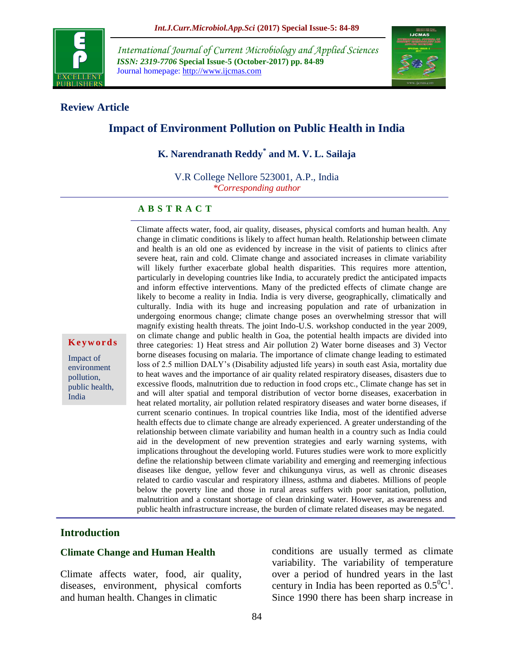

*International Journal of Current Microbiology and Applied Sciences ISSN: 2319-7706* **Special Issue-5 (October-2017) pp. 84-89** Journal homepage: http://www.ijcmas.com



#### **Review Article**

# **Impact of Environment Pollution on Public Health in India**

**K. Narendranath Reddy\* and M. V. L. Sailaja**

V.R College Nellore 523001, A.P., India *\*Corresponding author*

#### **A B S T R A C T**

Climate affects water, food, air quality, diseases, physical comforts and human health. Any change in climatic conditions is likely to affect human health. Relationship between climate and health is an old one as evidenced by increase in the visit of patients to clinics after severe heat, rain and cold. Climate change and associated increases in climate variability will likely further exacerbate global health disparities. This requires more attention, particularly in developing countries like India, to accurately predict the anticipated impacts and inform effective interventions. Many of the predicted effects of climate change are likely to become a reality in India. India is very diverse, geographically, climatically and culturally. India with its huge and increasing population and rate of urbanization in undergoing enormous change; climate change poses an overwhelming stressor that will magnify existing health threats. The joint Indo-U.S. workshop conducted in the year 2009, on climate change and public health in Goa, the potential health impacts are divided into three categories: 1) Heat stress and Air pollution 2) Water borne diseases and 3) Vector borne diseases focusing on malaria. The importance of climate change leading to estimated loss of 2.5 million DALY's (Disability adjusted life years) in south east Asia, mortality due to heat waves and the importance of air quality related respiratory diseases, disasters due to excessive floods, malnutrition due to reduction in food crops etc., Climate change has set in and will alter spatial and temporal distribution of vector borne diseases, exacerbation in heat related mortality, air pollution related respiratory diseases and water borne diseases, if current scenario continues. In tropical countries like India, most of the identified adverse health effects due to climate change are already experienced. A greater understanding of the relationship between climate variability and human health in a country such as India could aid in the development of new prevention strategies and early warning systems, with implications throughout the developing world. Futures studies were work to more explicitly define the relationship between climate variability and emerging and reemerging infectious diseases like dengue, yellow fever and chikungunya virus, as well as chronic diseases related to cardio vascular and respiratory illness, asthma and diabetes. Millions of people below the poverty line and those in rural areas suffers with poor sanitation, pollution, malnutrition and a constant shortage of clean drinking water. However, as awareness and public health infrastructure increase, the burden of climate related diseases may be negated.

#### **Introduction**

**K e y w o r d s**

Impact of environment pollution, public health, India

#### **Climate Change and Human Health**

Climate affects water, food, air quality, diseases, environment, physical comforts and human health. Changes in climatic

conditions are usually termed as climate variability. The variability of temperature over a period of hundred years in the last century in India has been reported as  $0.5^0C^1$ . Since 1990 there has been sharp increase in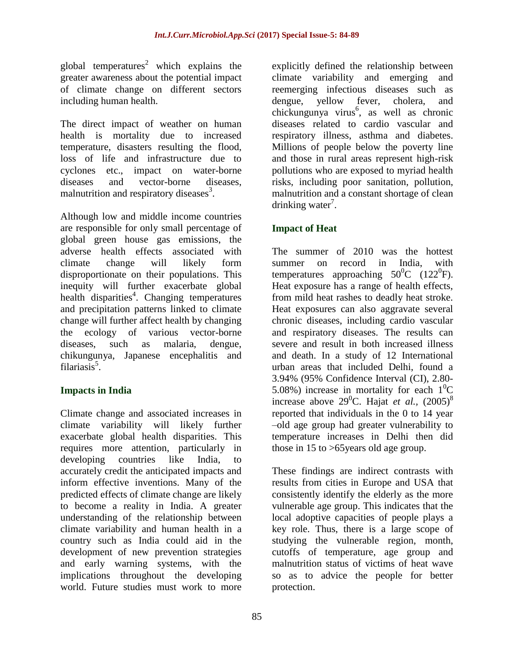global temperatures<sup>2</sup> which explains the greater awareness about the potential impact of climate change on different sectors including human health.

The direct impact of weather on human health is mortality due to increased temperature, disasters resulting the flood, loss of life and infrastructure due to cyclones etc., impact on water-borne diseases and vector-borne diseases, malnutrition and respiratory diseases<sup>3</sup>.

Although low and middle income countries are responsible for only small percentage of global green house gas emissions, the adverse health effects associated with climate change will likely form disproportionate on their populations. This inequity will further exacerbate global health disparities<sup>4</sup>. Changing temperatures and precipitation patterns linked to climate change will further affect health by changing the ecology of various vector-borne diseases, such as malaria, dengue, chikungunya, Japanese encephalitis and filariasis<sup>5</sup>.

# **Impacts in India**

Climate change and associated increases in climate variability will likely further exacerbate global health disparities. This requires more attention, particularly in developing countries like India, to accurately credit the anticipated impacts and inform effective inventions. Many of the predicted effects of climate change are likely to become a reality in India. A greater understanding of the relationship between climate variability and human health in a country such as India could aid in the development of new prevention strategies and early warning systems, with the implications throughout the developing world. Future studies must work to more

explicitly defined the relationship between climate variability and emerging and reemerging infectious diseases such as dengue, yellow fever, cholera, and chickungunya virus<sup>6</sup>, as well as chronic diseases related to cardio vascular and respiratory illness, asthma and diabetes. Millions of people below the poverty line and those in rural areas represent high-risk pollutions who are exposed to myriad health risks, including poor sanitation, pollution, malnutrition and a constant shortage of clean drinking water<sup>7</sup>.

# **Impact of Heat**

The summer of 2010 was the hottest summer on record in India, with temperatures approaching  $50^0C$  (122<sup>0</sup>F). Heat exposure has a range of health effects, from mild heat rashes to deadly heat stroke. Heat exposures can also aggravate several chronic diseases, including cardio vascular and respiratory diseases. The results can severe and result in both increased illness and death. In a study of 12 International urban areas that included Delhi, found a 3.94% (95% Confidence Interval (CI), 2.80- 5.08%) increase in mortality for each  $1^0C$ increase above  $29^0$ C. Hajat *et al.*,  $(2005)^8$ reported that individuals in the 0 to 14 year –old age group had greater vulnerability to temperature increases in Delhi then did those in 15 to >65years old age group.

These findings are indirect contrasts with results from cities in Europe and USA that consistently identify the elderly as the more vulnerable age group. This indicates that the local adoptive capacities of people plays a key role. Thus, there is a large scope of studying the vulnerable region, month, cutoffs of temperature, age group and malnutrition status of victims of heat wave so as to advice the people for better protection.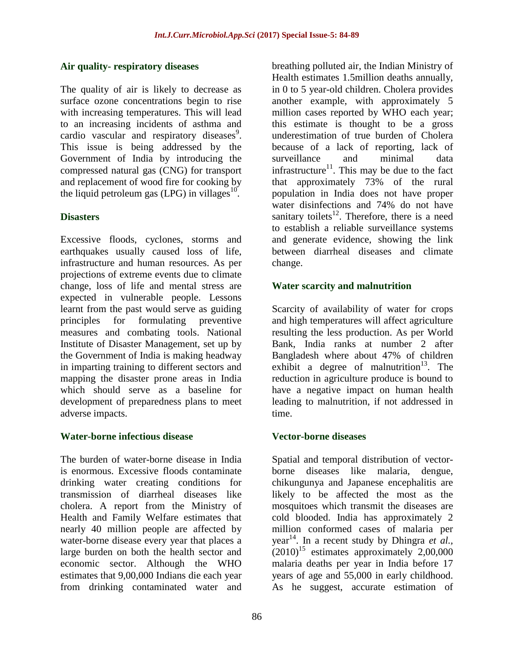## **Air quality- respiratory diseases**

The quality of air is likely to decrease as surface ozone concentrations begin to rise with increasing temperatures. This will lead to an increasing incidents of asthma and cardio vascular and respiratory diseases $9$ . This issue is being addressed by the Government of India by introducing the compressed natural gas (CNG) for transport and replacement of wood fire for cooking by the liquid petroleum gas (LPG) in villages $10^{\circ}$ .

#### **Disasters**

Excessive floods, cyclones, storms and earthquakes usually caused loss of life, infrastructure and human resources. As per projections of extreme events due to climate change, loss of life and mental stress are expected in vulnerable people. Lessons learnt from the past would serve as guiding principles for formulating preventive measures and combating tools. National Institute of Disaster Management, set up by the Government of India is making headway in imparting training to different sectors and mapping the disaster prone areas in India which should serve as a baseline for development of preparedness plans to meet adverse impacts.

## **Water-borne infectious disease**

The burden of water-borne disease in India is enormous. Excessive floods contaminate drinking water creating conditions for transmission of diarrheal diseases like cholera. A report from the Ministry of Health and Family Welfare estimates that nearly 40 million people are affected by water-borne disease every year that places a large burden on both the health sector and economic sector. Although the WHO estimates that 9,00,000 Indians die each year from drinking contaminated water and

breathing polluted air, the Indian Ministry of Health estimates 1.5million deaths annually, in 0 to 5 year-old children. Cholera provides another example, with approximately 5 million cases reported by WHO each year; this estimate is thought to be a gross underestimation of true burden of Cholera because of a lack of reporting, lack of surveillance and minimal data infrastructure<sup>11</sup>. This may be due to the fact that approximately 73% of the rural population in India does not have proper water disinfections and 74% do not have sanitary toilets $^{12}$ . Therefore, there is a need to establish a reliable surveillance systems and generate evidence, showing the link between diarrheal diseases and climate change.

## **Water scarcity and malnutrition**

Scarcity of availability of water for crops and high temperatures will affect agriculture resulting the less production. As per World Bank, India ranks at number 2 after Bangladesh where about 47% of children exhibit a degree of malnutrition<sup>13</sup>. The reduction in agriculture produce is bound to have a negative impact on human health leading to malnutrition, if not addressed in time.

## **Vector-borne diseases**

Spatial and temporal distribution of vectorborne diseases like malaria, dengue, chikungunya and Japanese encephalitis are likely to be affected the most as the mosquitoes which transmit the diseases are cold blooded. India has approximately 2 million conformed cases of malaria per year <sup>14</sup>. In a recent study by Dhingra *et al.,*  $(2010)^{15}$  estimates approximately 2,00,000 malaria deaths per year in India before 17 years of age and 55,000 in early childhood. As he suggest, accurate estimation of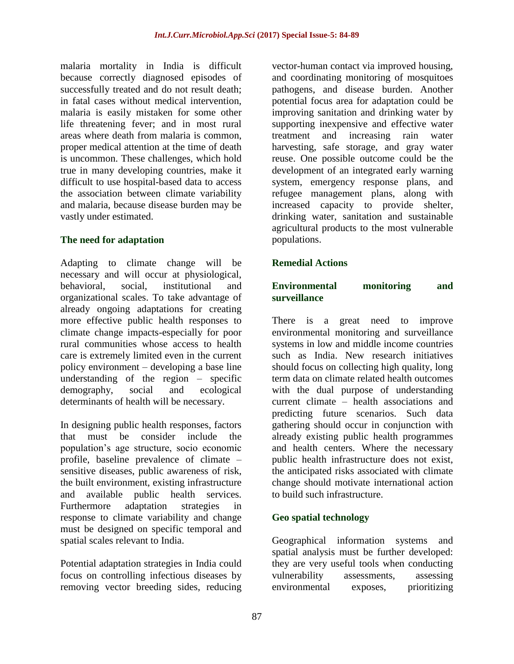malaria mortality in India is difficult because correctly diagnosed episodes of successfully treated and do not result death; in fatal cases without medical intervention, malaria is easily mistaken for some other life threatening fever; and in most rural areas where death from malaria is common, proper medical attention at the time of death is uncommon. These challenges, which hold true in many developing countries, make it difficult to use hospital-based data to access the association between climate variability and malaria, because disease burden may be vastly under estimated.

## **The need for adaptation**

Adapting to climate change will be necessary and will occur at physiological, behavioral, social, institutional and organizational scales. To take advantage of already ongoing adaptations for creating more effective public health responses to climate change impacts-especially for poor rural communities whose access to health care is extremely limited even in the current policy environment – developing a base line understanding of the region – specific demography, social and ecological determinants of health will be necessary.

In designing public health responses, factors that must be consider include the population's age structure, socio economic profile, baseline prevalence of climate – sensitive diseases, public awareness of risk, the built environment, existing infrastructure and available public health services. Furthermore adaptation strategies in response to climate variability and change must be designed on specific temporal and spatial scales relevant to India.

Potential adaptation strategies in India could focus on controlling infectious diseases by removing vector breeding sides, reducing

vector-human contact via improved housing, and coordinating monitoring of mosquitoes pathogens, and disease burden. Another potential focus area for adaptation could be improving sanitation and drinking water by supporting inexpensive and effective water treatment and increasing rain water harvesting, safe storage, and gray water reuse. One possible outcome could be the development of an integrated early warning system, emergency response plans, and refugee management plans, along with increased capacity to provide shelter, drinking water, sanitation and sustainable agricultural products to the most vulnerable populations.

# **Remedial Actions**

#### **Environmental monitoring and surveillance**

There is a great need to improve environmental monitoring and surveillance systems in low and middle income countries such as India. New research initiatives should focus on collecting high quality, long term data on climate related health outcomes with the dual purpose of understanding current climate – health associations and predicting future scenarios. Such data gathering should occur in conjunction with already existing public health programmes and health centers. Where the necessary public health infrastructure does not exist, the anticipated risks associated with climate change should motivate international action to build such infrastructure.

# **Geo spatial technology**

Geographical information systems and spatial analysis must be further developed: they are very useful tools when conducting vulnerability assessments, assessing environmental exposes, prioritizing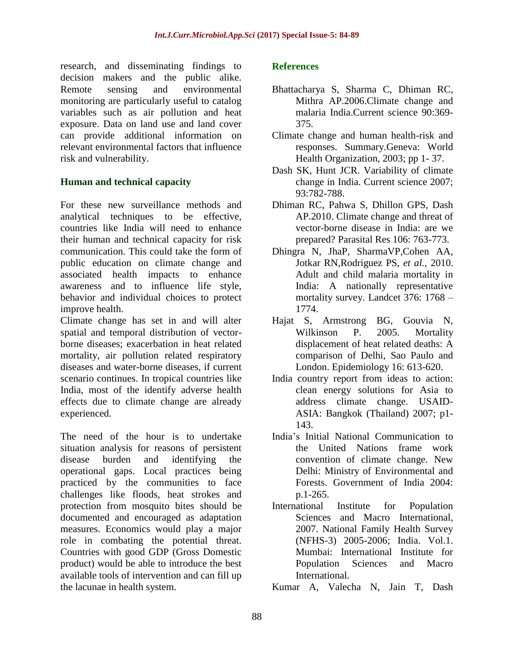research, and disseminating findings to decision makers and the public alike. Remote sensing and environmental monitoring are particularly useful to catalog variables such as air pollution and heat exposure. Data on land use and land cover can provide additional information on relevant environmental factors that influence risk and vulnerability.

## **Human and technical capacity**

For these new surveillance methods and analytical techniques to be effective, countries like India will need to enhance their human and technical capacity for risk communication. This could take the form of public education on climate change and associated health impacts to enhance awareness and to influence life style, behavior and individual choices to protect improve health.

Climate change has set in and will alter spatial and temporal distribution of vectorborne diseases; exacerbation in heat related mortality, air pollution related respiratory diseases and water-borne diseases, if current scenario continues. In tropical countries like India, most of the identify adverse health effects due to climate change are already experienced.

The need of the hour is to undertake situation analysis for reasons of persistent disease burden and identifying the operational gaps. Local practices being practiced by the communities to face challenges like floods, heat strokes and protection from mosquito bites should be documented and encouraged as adaptation measures. Economics would play a major role in combating the potential threat. Countries with good GDP (Gross Domestic product) would be able to introduce the best available tools of intervention and can fill up the lacunae in health system.

## **References**

- Bhattacharya S, Sharma C, Dhiman RC, Mithra AP.2006.Climate change and malaria India.Current science 90:369- 375.
- Climate change and human health-risk and responses. Summary.Geneva: World Health Organization, 2003; pp 1- 37.
- Dash SK, Hunt JCR. Variability of climate change in India. Current science 2007; 93:782-788.
- Dhiman RC, Pahwa S, Dhillon GPS, Dash AP.2010. Climate change and threat of vector-borne disease in India: are we prepared? Parasital Res 106: 763-773.
- Dhingra N, JhaP, SharmaVP,Cohen AA, Jotkar RN,Rodriguez PS, *et al.,* 2010. Adult and child malaria mortality in India: A nationally representative mortality survey. Landcet 376: 1768 – 1774.
- Hajat S, Armstrong BG, Gouvia N, Wilkinson P. 2005. Mortality displacement of heat related deaths: A comparison of Delhi, Sao Paulo and London. Epidemiology 16: 613-620.
- India country report from ideas to action: clean energy solutions for Asia to address climate change. USAID-ASIA: Bangkok (Thailand) 2007; p1- 143.
- India's Initial National Communication to the United Nations frame work convention of climate change. New Delhi: Ministry of Environmental and Forests. Government of India 2004: p.1-265.
- International Institute for Population Sciences and Macro International, 2007. National Family Health Survey (NFHS-3) 2005-2006; India. Vol.1. Mumbai: International Institute for Population Sciences and Macro International.
- Kumar A, Valecha N, Jain T, Dash